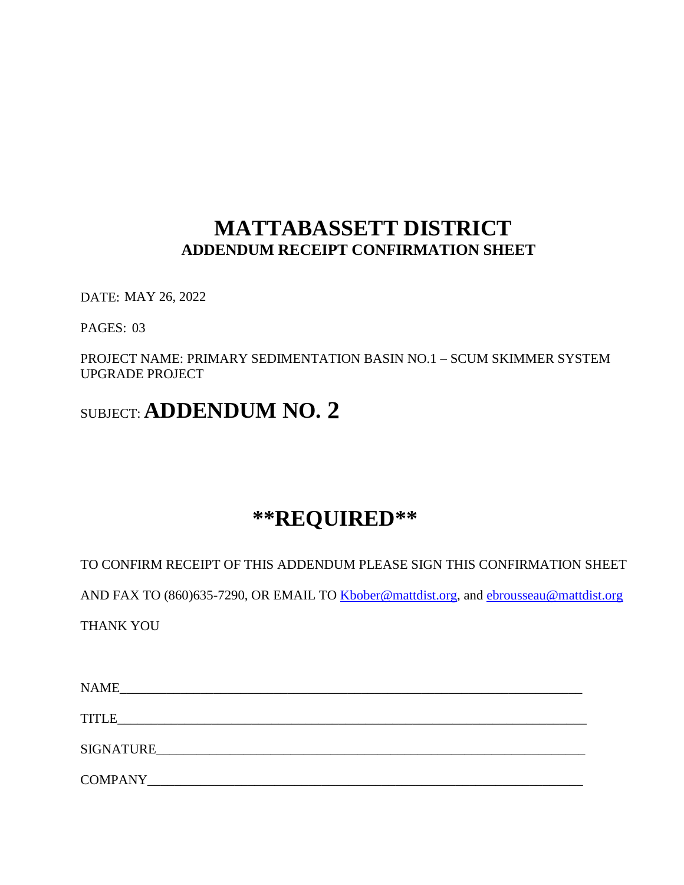# **MATTABASSETT DISTRICT ADDENDUM RECEIPT CONFIRMATION SHEET**

DATE: MAY 26, 2022

PAGES: 03

PROJECT NAME: PRIMARY SEDIMENTATION BASIN NO.1 – SCUM SKIMMER SYSTEM UPGRADE PROJECT

# SUBJECT: **ADDENDUM NO. 2**

# **\*\*REQUIRED\*\***

TO CONFIRM RECEIPT OF THIS ADDENDUM PLEASE SIGN THIS CONFIRMATION SHEET

AND FAX TO (860)635-7290, OR EMAIL TO [Kbober@mattdist.org,](mailto:Kbober@mattdist.org) and [ebrousseau@mattdist.org](mailto:ebrousseau@mattdist.org)

THANK YOU

| <b>NAME</b>      |  |
|------------------|--|
| <b>TITLE</b>     |  |
| <b>SIGNATURE</b> |  |
| <b>COMPANY</b>   |  |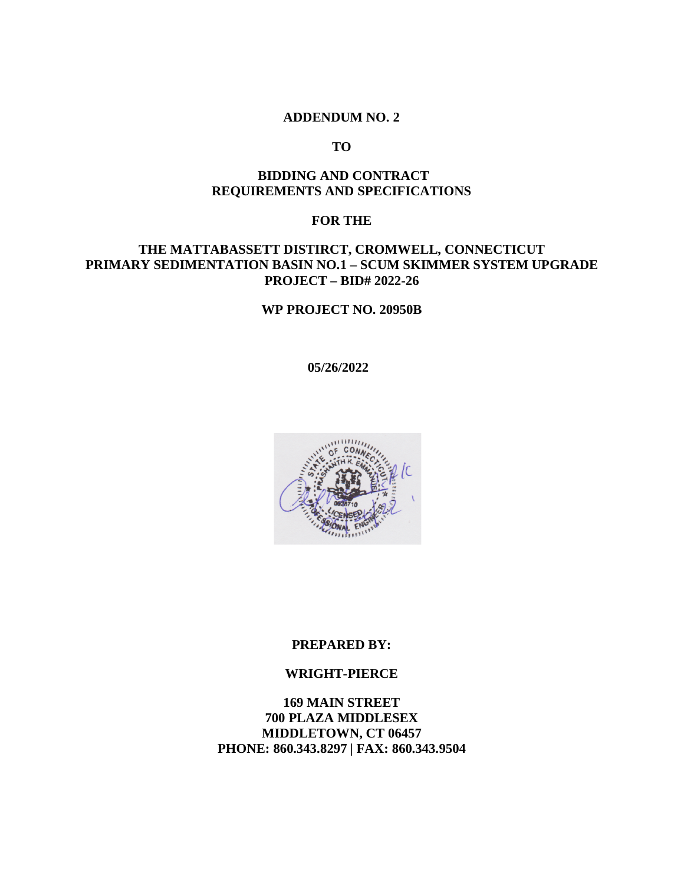#### **ADDENDUM NO. 2**

**TO**

## **BIDDING AND CONTRACT REQUIREMENTS AND SPECIFICATIONS**

#### **FOR THE**

# **THE MATTABASSETT DISTIRCT, CROMWELL, CONNECTICUT PRIMARY SEDIMENTATION BASIN NO.1 – SCUM SKIMMER SYSTEM UPGRADE PROJECT – BID# 2022-26**

#### **WP PROJECT NO. 20950B**

**5/27/2022 05/26/2022**



#### **PREPARED BY:**

#### **WRIGHT-PIERCE**

**169 MAIN STREET 700 PLAZA MIDDLESEX MIDDLETOWN, CT 06457 PHONE: 860.343.8297 | FAX: 860.343.9504**